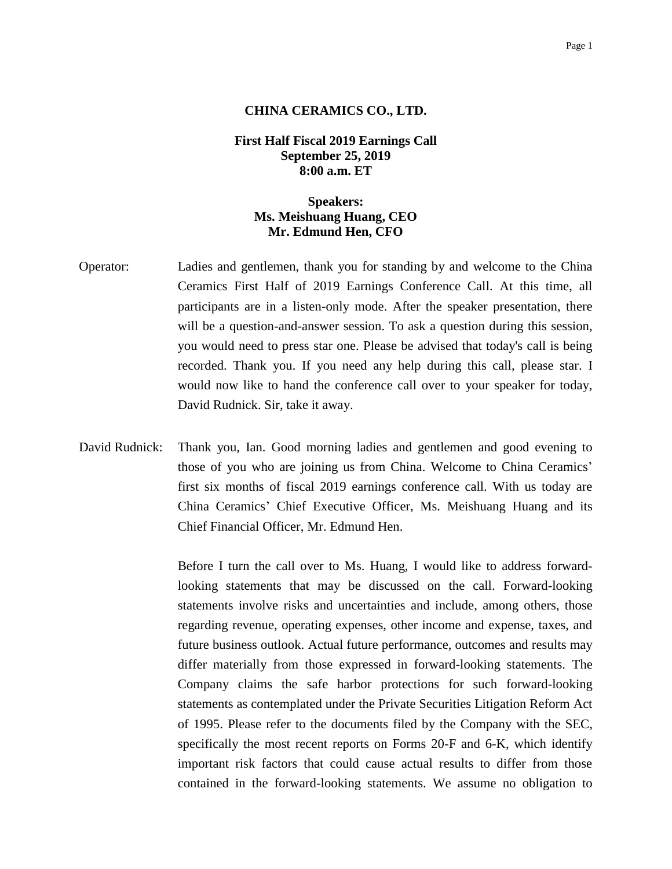#### Page 1

#### **CHINA CERAMICS CO., LTD.**

## **First Half Fiscal 2019 Earnings Call September 25, 2019 8:00 a.m. ET**

# **Speakers: Ms. Meishuang Huang, CEO Mr. Edmund Hen, CFO**

- Operator: Ladies and gentlemen, thank you for standing by and welcome to the China Ceramics First Half of 2019 Earnings Conference Call. At this time, all participants are in a listen-only mode. After the speaker presentation, there will be a question-and-answer session. To ask a question during this session, you would need to press star one. Please be advised that today's call is being recorded. Thank you. If you need any help during this call, please star. I would now like to hand the conference call over to your speaker for today, David Rudnick. Sir, take it away.
- David Rudnick: Thank you, Ian. Good morning ladies and gentlemen and good evening to those of you who are joining us from China. Welcome to China Ceramics' first six months of fiscal 2019 earnings conference call. With us today are China Ceramics' Chief Executive Officer, Ms. Meishuang Huang and its Chief Financial Officer, Mr. Edmund Hen.

Before I turn the call over to Ms. Huang, I would like to address forwardlooking statements that may be discussed on the call. Forward-looking statements involve risks and uncertainties and include, among others, those regarding revenue, operating expenses, other income and expense, taxes, and future business outlook. Actual future performance, outcomes and results may differ materially from those expressed in forward-looking statements. The Company claims the safe harbor protections for such forward-looking statements as contemplated under the Private Securities Litigation Reform Act of 1995. Please refer to the documents filed by the Company with the SEC, specifically the most recent reports on Forms 20-F and 6-K, which identify important risk factors that could cause actual results to differ from those contained in the forward-looking statements. We assume no obligation to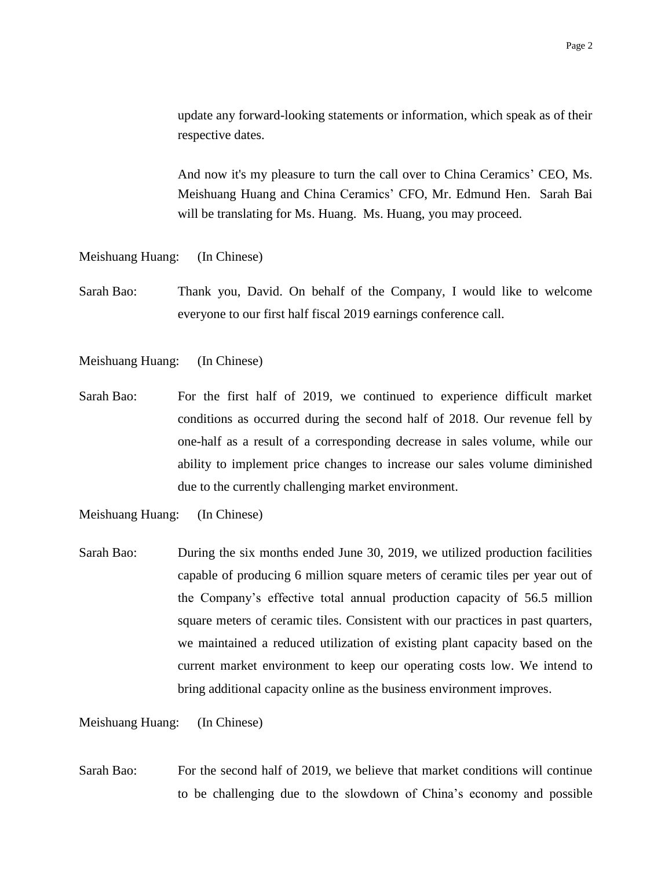update any forward-looking statements or information, which speak as of their respective dates.

And now it's my pleasure to turn the call over to China Ceramics' CEO, Ms. Meishuang Huang and China Ceramics' CFO, Mr. Edmund Hen. Sarah Bai will be translating for Ms. Huang. Ms. Huang, you may proceed.

Meishuang Huang: (In Chinese)

Sarah Bao: Thank you, David. On behalf of the Company, I would like to welcome everyone to our first half fiscal 2019 earnings conference call.

Meishuang Huang: (In Chinese)

Sarah Bao: For the first half of 2019, we continued to experience difficult market conditions as occurred during the second half of 2018. Our revenue fell by one-half as a result of a corresponding decrease in sales volume, while our ability to implement price changes to increase our sales volume diminished due to the currently challenging market environment.

Meishuang Huang: (In Chinese)

Sarah Bao: During the six months ended June 30, 2019, we utilized production facilities capable of producing 6 million square meters of ceramic tiles per year out of the Company's effective total annual production capacity of 56.5 million square meters of ceramic tiles. Consistent with our practices in past quarters, we maintained a reduced utilization of existing plant capacity based on the current market environment to keep our operating costs low. We intend to bring additional capacity online as the business environment improves.

Meishuang Huang: (In Chinese)

Sarah Bao: For the second half of 2019, we believe that market conditions will continue to be challenging due to the slowdown of China's economy and possible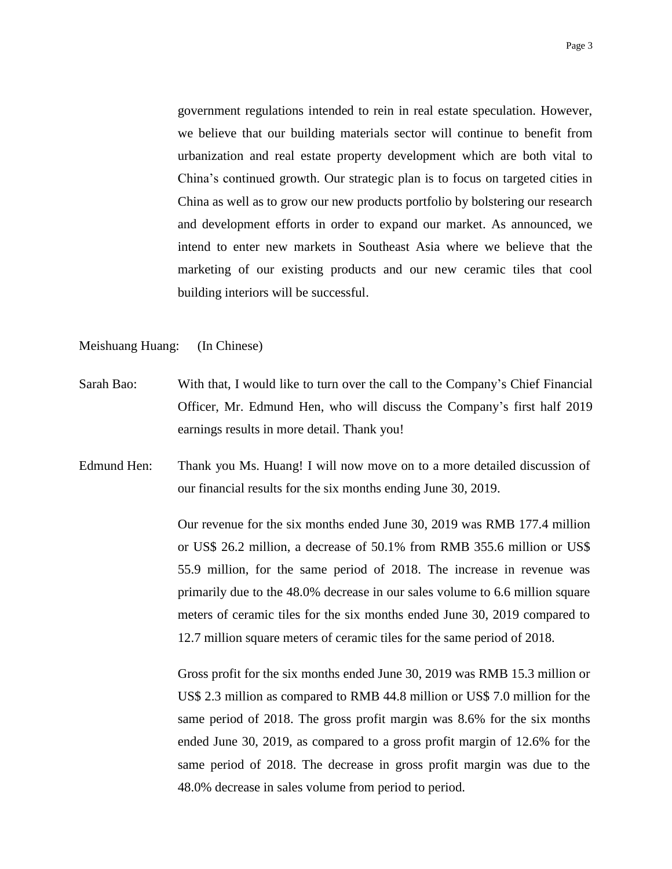government regulations intended to rein in real estate speculation. However, we believe that our building materials sector will continue to benefit from urbanization and real estate property development which are both vital to China's continued growth. Our strategic plan is to focus on targeted cities in China as well as to grow our new products portfolio by bolstering our research and development efforts in order to expand our market. As announced, we intend to enter new markets in Southeast Asia where we believe that the marketing of our existing products and our new ceramic tiles that cool building interiors will be successful.

## Meishuang Huang: (In Chinese)

- Sarah Bao: With that, I would like to turn over the call to the Company's Chief Financial Officer, Mr. Edmund Hen, who will discuss the Company's first half 2019 earnings results in more detail. Thank you!
- Edmund Hen: Thank you Ms. Huang! I will now move on to a more detailed discussion of our financial results for the six months ending June 30, 2019.

Our revenue for the six months ended June 30, 2019 was RMB 177.4 million or US\$ 26.2 million, a decrease of 50.1% from RMB 355.6 million or US\$ 55.9 million, for the same period of 2018. The increase in revenue was primarily due to the 48.0% decrease in our sales volume to 6.6 million square meters of ceramic tiles for the six months ended June 30, 2019 compared to 12.7 million square meters of ceramic tiles for the same period of 2018.

Gross profit for the six months ended June 30, 2019 was RMB 15.3 million or US\$ 2.3 million as compared to RMB 44.8 million or US\$ 7.0 million for the same period of 2018. The gross profit margin was 8.6% for the six months ended June 30, 2019, as compared to a gross profit margin of 12.6% for the same period of 2018. The decrease in gross profit margin was due to the 48.0% decrease in sales volume from period to period.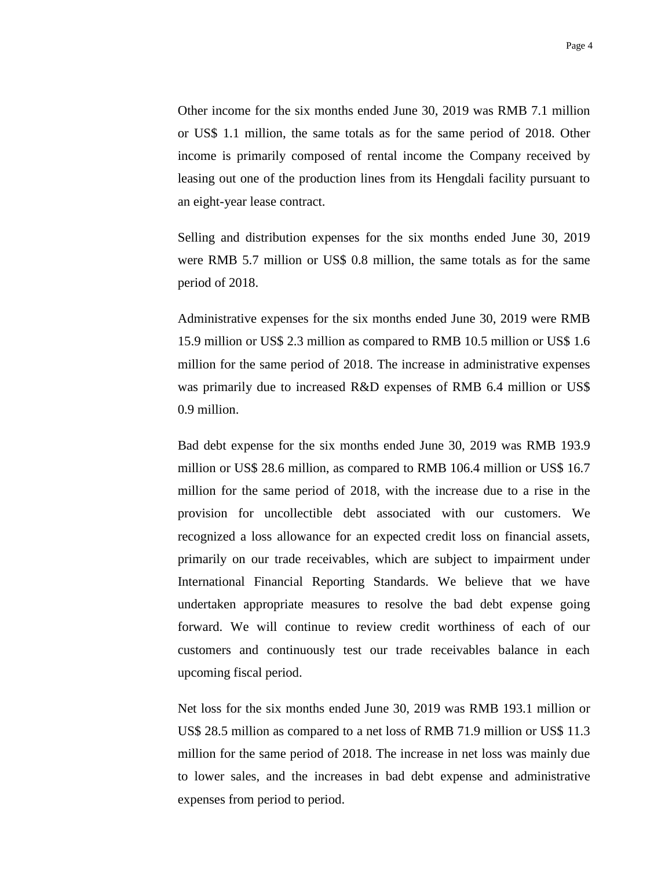Other income for the six months ended June 30, 2019 was RMB 7.1 million or US\$ 1.1 million, the same totals as for the same period of 2018. Other income is primarily composed of rental income the Company received by leasing out one of the production lines from its Hengdali facility pursuant to an eight-year lease contract.

Selling and distribution expenses for the six months ended June 30, 2019 were RMB 5.7 million or US\$ 0.8 million, the same totals as for the same period of 2018.

Administrative expenses for the six months ended June 30, 2019 were RMB 15.9 million or US\$ 2.3 million as compared to RMB 10.5 million or US\$ 1.6 million for the same period of 2018. The increase in administrative expenses was primarily due to increased R&D expenses of RMB 6.4 million or US\$ 0.9 million.

Bad debt expense for the six months ended June 30, 2019 was RMB 193.9 million or US\$ 28.6 million, as compared to RMB 106.4 million or US\$ 16.7 million for the same period of 2018, with the increase due to a rise in the provision for uncollectible debt associated with our customers. We recognized a loss allowance for an expected credit loss on financial assets, primarily on our trade receivables, which are subject to impairment under International Financial Reporting Standards. We believe that we have undertaken appropriate measures to resolve the bad debt expense going forward. We will continue to review credit worthiness of each of our customers and continuously test our trade receivables balance in each upcoming fiscal period.

Net loss for the six months ended June 30, 2019 was RMB 193.1 million or US\$ 28.5 million as compared to a net loss of RMB 71.9 million or US\$ 11.3 million for the same period of 2018. The increase in net loss was mainly due to lower sales, and the increases in bad debt expense and administrative expenses from period to period.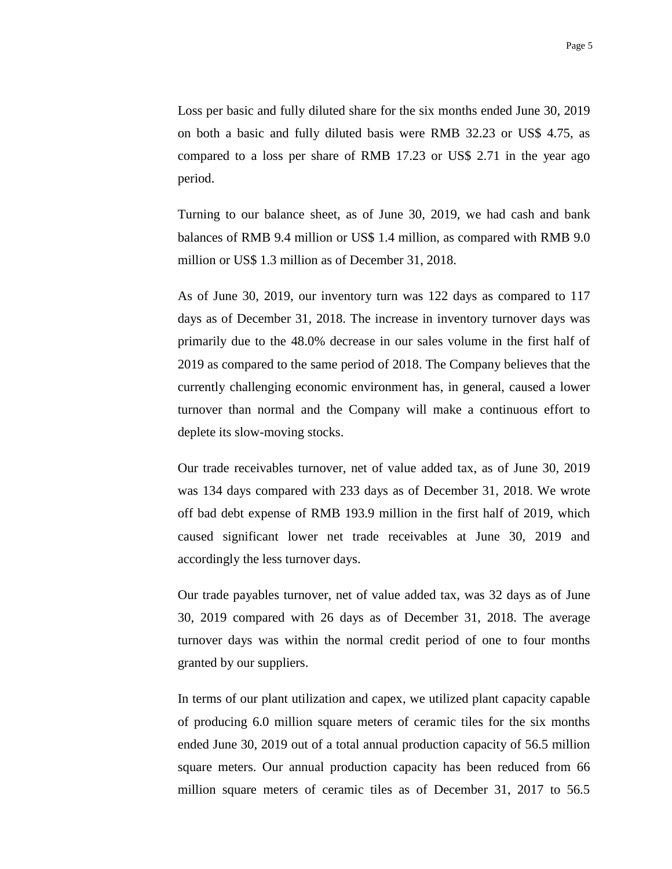Loss per basic and fully diluted share for the six months ended June 30, 2019 on both a basic and fully diluted basis were RMB 32.23 or US\$ 4.75, as compared to a loss per share of RMB 17.23 or US\$ 2.71 in the year ago period.

Turning to our balance sheet, as of June 30, 2019, we had cash and bank balances of RMB 9.4 million or US\$ 1.4 million, as compared with RMB 9.0 million or US\$ 1.3 million as of December 31, 2018.

As of June 30, 2019, our inventory turn was 122 days as compared to 117 days as of December 31, 2018. The increase in inventory turnover days was primarily due to the 48.0% decrease in our sales volume in the first half of 2019 as compared to the same period of 2018. The Company believes that the currently challenging economic environment has, in general, caused a lower turnover than normal and the Company will make a continuous effort to deplete its slow-moving stocks.

Our trade receivables turnover, net of value added tax, as of June 30, 2019 was 134 days compared with 233 days as of December 31, 2018. We wrote off bad debt expense of RMB 193.9 million in the first half of 2019, which caused significant lower net trade receivables at June 30, 2019 and accordingly the less turnover days.

Our trade payables turnover, net of value added tax, was 32 days as of June 30, 2019 compared with 26 days as of December 31, 2018. The average turnover days was within the normal credit period of one to four months granted by our suppliers.

In terms of our plant utilization and capex, we utilized plant capacity capable of producing 6.0 million square meters of ceramic tiles for the six months ended June 30, 2019 out of a total annual production capacity of 56.5 million square meters. Our annual production capacity has been reduced from 66 million square meters of ceramic tiles as of December 31, 2017 to 56.5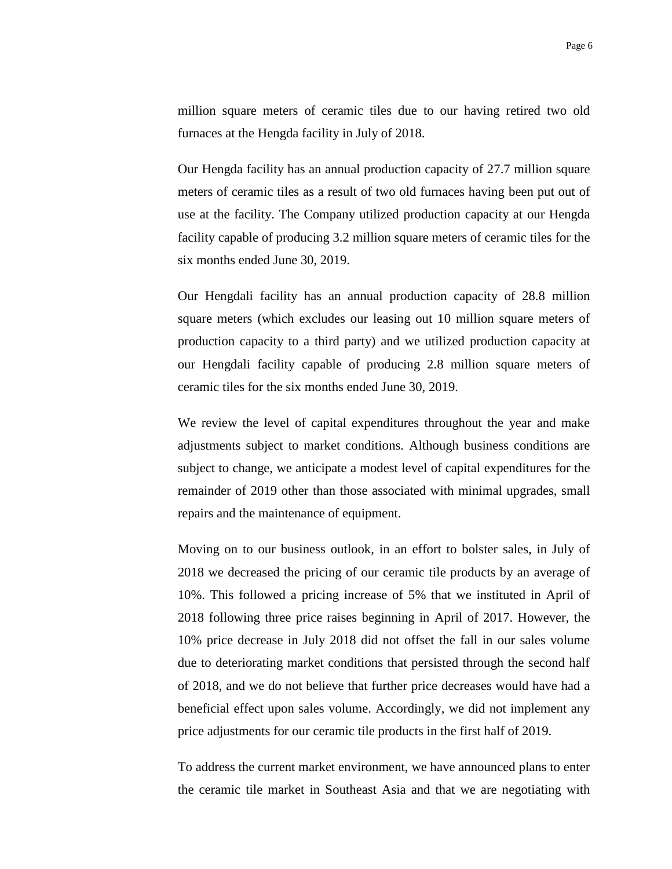million square meters of ceramic tiles due to our having retired two old furnaces at the Hengda facility in July of 2018.

Our Hengda facility has an annual production capacity of 27.7 million square meters of ceramic tiles as a result of two old furnaces having been put out of use at the facility. The Company utilized production capacity at our Hengda facility capable of producing 3.2 million square meters of ceramic tiles for the six months ended June 30, 2019.

Our Hengdali facility has an annual production capacity of 28.8 million square meters (which excludes our leasing out 10 million square meters of production capacity to a third party) and we utilized production capacity at our Hengdali facility capable of producing 2.8 million square meters of ceramic tiles for the six months ended June 30, 2019.

We review the level of capital expenditures throughout the year and make adjustments subject to market conditions. Although business conditions are subject to change, we anticipate a modest level of capital expenditures for the remainder of 2019 other than those associated with minimal upgrades, small repairs and the maintenance of equipment.

Moving on to our business outlook, in an effort to bolster sales, in July of 2018 we decreased the pricing of our ceramic tile products by an average of 10%. This followed a pricing increase of 5% that we instituted in April of 2018 following three price raises beginning in April of 2017. However, the 10% price decrease in July 2018 did not offset the fall in our sales volume due to deteriorating market conditions that persisted through the second half of 2018, and we do not believe that further price decreases would have had a beneficial effect upon sales volume. Accordingly, we did not implement any price adjustments for our ceramic tile products in the first half of 2019.

To address the current market environment, we have announced plans to enter the ceramic tile market in Southeast Asia and that we are negotiating with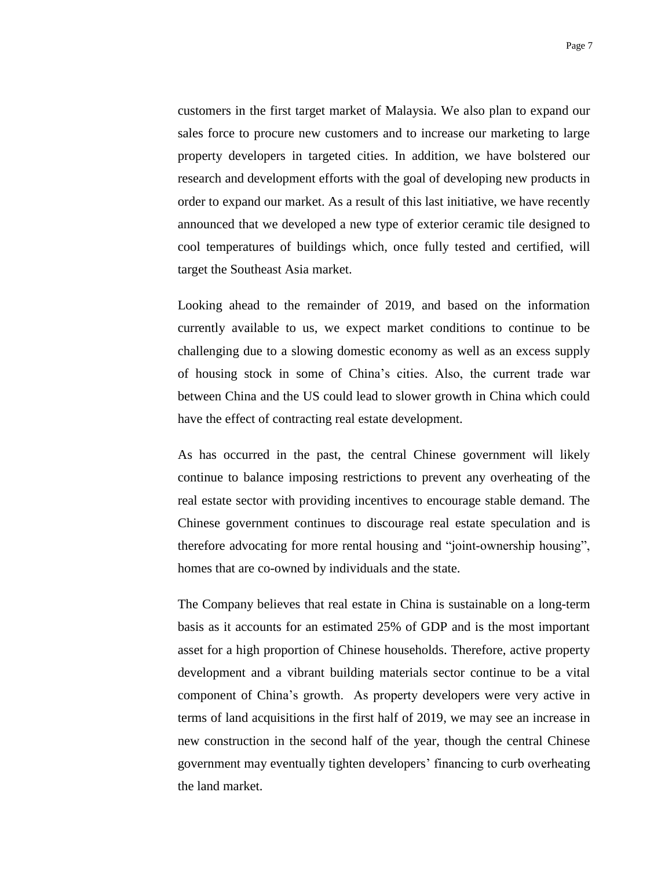customers in the first target market of Malaysia. We also plan to expand our sales force to procure new customers and to increase our marketing to large property developers in targeted cities. In addition, we have bolstered our research and development efforts with the goal of developing new products in order to expand our market. As a result of this last initiative, we have recently announced that we developed a new type of exterior ceramic tile designed to cool temperatures of buildings which, once fully tested and certified, will target the Southeast Asia market.

Looking ahead to the remainder of 2019, and based on the information currently available to us, we expect market conditions to continue to be challenging due to a slowing domestic economy as well as an excess supply of housing stock in some of China's cities. Also, the current trade war between China and the US could lead to slower growth in China which could have the effect of contracting real estate development.

As has occurred in the past, the central Chinese government will likely continue to balance imposing restrictions to prevent any overheating of the real estate sector with providing incentives to encourage stable demand. The Chinese government continues to discourage real estate speculation and is therefore advocating for more rental housing and "joint-ownership housing", homes that are co-owned by individuals and the state.

The Company believes that real estate in China is sustainable on a long-term basis as it accounts for an estimated 25% of GDP and is the most important asset for a high proportion of Chinese households. Therefore, active property development and a vibrant building materials sector continue to be a vital component of China's growth. As property developers were very active in terms of land acquisitions in the first half of 2019, we may see an increase in new construction in the second half of the year, though the central Chinese government may eventually tighten developers' financing to curb overheating the land market.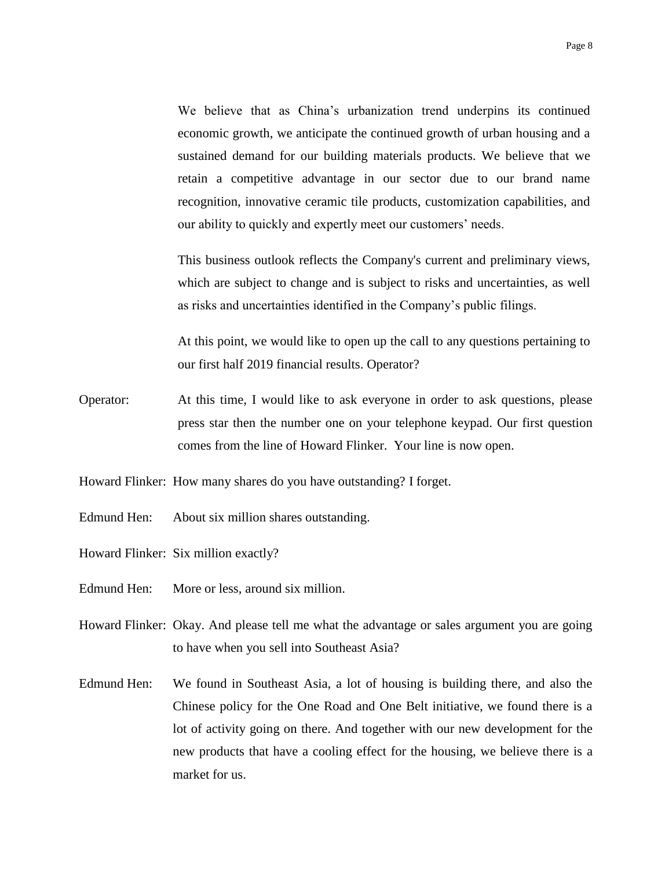We believe that as China's urbanization trend underpins its continued economic growth, we anticipate the continued growth of urban housing and a sustained demand for our building materials products. We believe that we retain a competitive advantage in our sector due to our brand name recognition, innovative ceramic tile products, customization capabilities, and our ability to quickly and expertly meet our customers' needs.

This business outlook reflects the Company's current and preliminary views, which are subject to change and is subject to risks and uncertainties, as well as risks and uncertainties identified in the Company's public filings.

At this point, we would like to open up the call to any questions pertaining to our first half 2019 financial results. Operator?

Operator: At this time, I would like to ask everyone in order to ask questions, please press star then the number one on your telephone keypad. Our first question comes from the line of Howard Flinker. Your line is now open.

Howard Flinker: How many shares do you have outstanding? I forget.

- Edmund Hen: About six million shares outstanding.
- Howard Flinker: Six million exactly?
- Edmund Hen: More or less, around six million.
- Howard Flinker: Okay. And please tell me what the advantage or sales argument you are going to have when you sell into Southeast Asia?
- Edmund Hen: We found in Southeast Asia, a lot of housing is building there, and also the Chinese policy for the One Road and One Belt initiative, we found there is a lot of activity going on there. And together with our new development for the new products that have a cooling effect for the housing, we believe there is a market for us.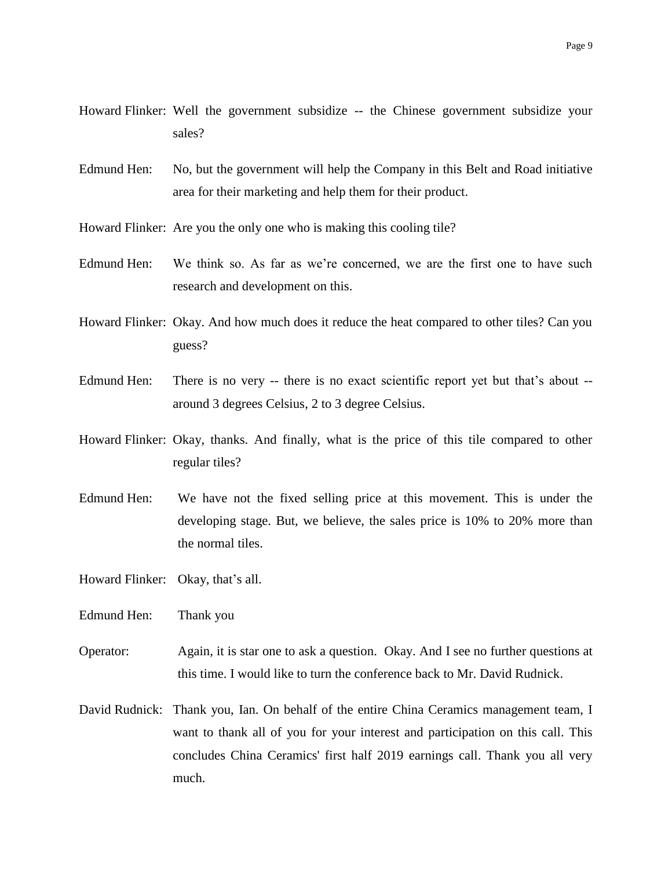- Howard Flinker: Well the government subsidize -- the Chinese government subsidize your sales?
- Edmund Hen: No, but the government will help the Company in this Belt and Road initiative area for their marketing and help them for their product.
- Howard Flinker: Are you the only one who is making this cooling tile?
- Edmund Hen: We think so. As far as we're concerned, we are the first one to have such research and development on this.
- Howard Flinker: Okay. And how much does it reduce the heat compared to other tiles? Can you guess?
- Edmund Hen: There is no very -- there is no exact scientific report yet but that's about around 3 degrees Celsius, 2 to 3 degree Celsius.
- Howard Flinker: Okay, thanks. And finally, what is the price of this tile compared to other regular tiles?
- Edmund Hen: We have not the fixed selling price at this movement. This is under the developing stage. But, we believe, the sales price is 10% to 20% more than the normal tiles.
- Howard Flinker: Okay, that's all.
- Edmund Hen: Thank you
- Operator: Again, it is star one to ask a question. Okay. And I see no further questions at this time. I would like to turn the conference back to Mr. David Rudnick.
- David Rudnick: Thank you, Ian. On behalf of the entire China Ceramics management team, I want to thank all of you for your interest and participation on this call. This concludes China Ceramics' first half 2019 earnings call. Thank you all very much.